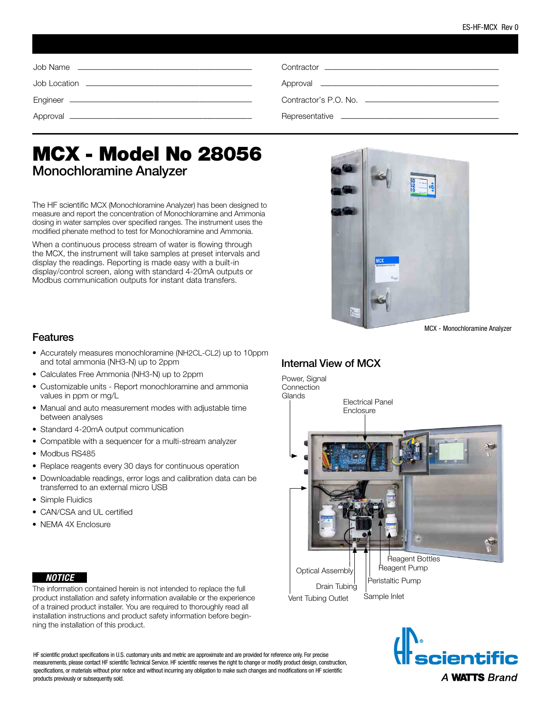| Contractor experience and the contractor of the contractor of the contractor of the contractor of the contractor |
|------------------------------------------------------------------------------------------------------------------|
|                                                                                                                  |
|                                                                                                                  |
|                                                                                                                  |

# MCX - Model No 28056 Monochloramine Analyzer

The HF scientific MCX (Monochloramine Analyzer) has been designed to measure and report the concentration of Monochloramine and Ammonia dosing in water samples over specified ranges. The instrument uses the modified phenate method to test for Monochloramine and Ammonia.

When a continuous process stream of water is flowing through the MCX, the instrument will take samples at preset intervals and display the readings. Reporting is made easy with a built-in display/control screen, along with standard 4-20mA outputs or Modbus communication outputs for instant data transfers.



MCX - Monochloramine Analyzer

#### Features

- Accurately measures monochloramine (NH2CL-CL2) up to 10ppm and total ammonia (NH3-N) up to 2ppm
- Calculates Free Ammonia (NH3-N) up to 2ppm
- Customizable units Report monochloramine and ammonia values in ppm or mg/L
- Manual and auto measurement modes with adjustable time between analyses
- Standard 4-20mA output communication
- Compatible with a sequencer for a multi-stream analyzer
- Modbus RS485
- Replace reagents every 30 days for continuous operation
- Downloadable readings, error logs and calibration data can be transferred to an external micro USB
- Simple Fluidics
- CAN/CSA and UL certified
- NEMA 4X Enclosure

#### *NOTICE*

The information contained herein is not intended to replace the full product installation and safety information available or the experience of a trained product installer. You are required to thoroughly read all installation instructions and product safety information before beginning the installation of this product.

HF scientific product specifications in U.S. customary units and metric are approximate and are provided for reference only. For precise measurements, please contact HF scientific Technical Service. HF scientific reserves the right to change or modify product design, construction, specifications, or materials without prior notice and without incurring any obligation to make such changes and modifications on HF scientific products previously or subsequently sold.

### Internal View of MCX